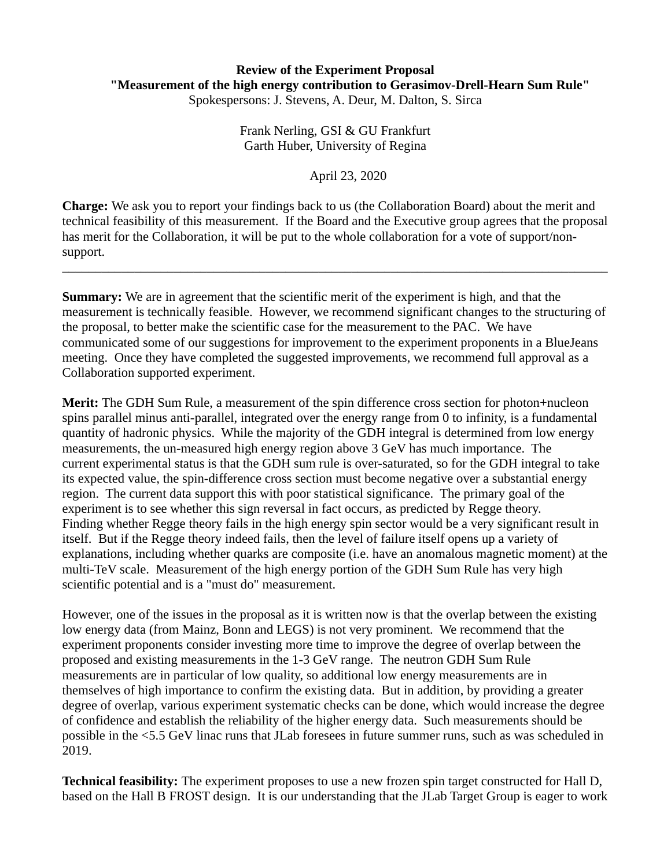#### **Review of the Experiment Proposal "Measurement of the high energy contribution to Gerasimov-Drell-Hearn Sum Rule"** Spokespersons: J. Stevens, A. Deur, M. Dalton, S. Sirca

Frank Nerling, GSI & GU Frankfurt Garth Huber, University of Regina

April 23, 2020

**Charge:** We ask you to report your findings back to us (the Collaboration Board) about the merit and technical feasibility of this measurement. If the Board and the Executive group agrees that the proposal has merit for the Collaboration, it will be put to the whole collaboration for a vote of support/nonsupport.

\_\_\_\_\_\_\_\_\_\_\_\_\_\_\_\_\_\_\_\_\_\_\_\_\_\_\_\_\_\_\_\_\_\_\_\_\_\_\_\_\_\_\_\_\_\_\_\_\_\_\_\_\_\_\_\_\_\_\_\_\_\_\_\_\_\_\_\_\_\_\_\_\_\_\_\_\_\_\_\_\_\_\_

**Summary:** We are in agreement that the scientific merit of the experiment is high, and that the measurement is technically feasible. However, we recommend significant changes to the structuring of the proposal, to better make the scientific case for the measurement to the PAC. We have communicated some of our suggestions for improvement to the experiment proponents in a BlueJeans meeting. Once they have completed the suggested improvements, we recommend full approval as a Collaboration supported experiment.

**Merit:** The GDH Sum Rule, a measurement of the spin difference cross section for photon+nucleon spins parallel minus anti-parallel, integrated over the energy range from 0 to infinity, is a fundamental quantity of hadronic physics. While the majority of the GDH integral is determined from low energy measurements, the un-measured high energy region above 3 GeV has much importance. The current experimental status is that the GDH sum rule is over-saturated, so for the GDH integral to take its expected value, the spin-difference cross section must become negative over a substantial energy region. The current data support this with poor statistical significance. The primary goal of the experiment is to see whether this sign reversal in fact occurs, as predicted by Regge theory. Finding whether Regge theory fails in the high energy spin sector would be a very significant result in itself. But if the Regge theory indeed fails, then the level of failure itself opens up a variety of explanations, including whether quarks are composite (i.e. have an anomalous magnetic moment) at the multi-TeV scale. Measurement of the high energy portion of the GDH Sum Rule has very high scientific potential and is a "must do" measurement.

However, one of the issues in the proposal as it is written now is that the overlap between the existing low energy data (from Mainz, Bonn and LEGS) is not very prominent. We recommend that the experiment proponents consider investing more time to improve the degree of overlap between the proposed and existing measurements in the 1-3 GeV range. The neutron GDH Sum Rule measurements are in particular of low quality, so additional low energy measurements are in themselves of high importance to confirm the existing data. But in addition, by providing a greater degree of overlap, various experiment systematic checks can be done, which would increase the degree of confidence and establish the reliability of the higher energy data. Such measurements should be possible in the <5.5 GeV linac runs that JLab foresees in future summer runs, such as was scheduled in 2019.

**Technical feasibility:** The experiment proposes to use a new frozen spin target constructed for Hall D, based on the Hall B FROST design. It is our understanding that the JLab Target Group is eager to work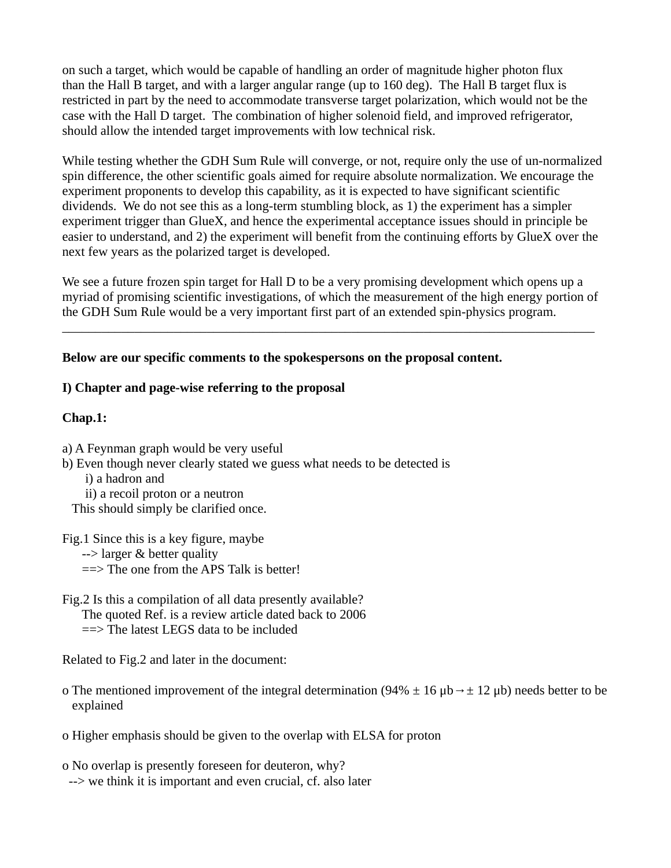on such a target, which would be capable of handling an order of magnitude higher photon flux than the Hall B target, and with a larger angular range (up to 160 deg). The Hall B target flux is restricted in part by the need to accommodate transverse target polarization, which would not be the case with the Hall D target. The combination of higher solenoid field, and improved refrigerator, should allow the intended target improvements with low technical risk.

While testing whether the GDH Sum Rule will converge, or not, require only the use of un-normalized spin difference, the other scientific goals aimed for require absolute normalization. We encourage the experiment proponents to develop this capability, as it is expected to have significant scientific dividends. We do not see this as a long-term stumbling block, as 1) the experiment has a simpler experiment trigger than GlueX, and hence the experimental acceptance issues should in principle be easier to understand, and 2) the experiment will benefit from the continuing efforts by GlueX over the next few years as the polarized target is developed.

We see a future frozen spin target for Hall D to be a very promising development which opens up a myriad of promising scientific investigations, of which the measurement of the high energy portion of the GDH Sum Rule would be a very important first part of an extended spin-physics program.

\_\_\_\_\_\_\_\_\_\_\_\_\_\_\_\_\_\_\_\_\_\_\_\_\_\_\_\_\_\_\_\_\_\_\_\_\_\_\_\_\_\_\_\_\_\_\_\_\_\_\_\_\_\_\_\_\_\_\_\_\_\_\_\_\_\_\_\_\_\_\_\_\_\_\_\_\_\_\_\_\_

### **Below are our specific comments to the spokespersons on the proposal content.**

#### **I) Chapter and page-wise referring to the proposal**

### **Chap.1:**

- a) A Feynman graph would be very useful
- b) Even though never clearly stated we guess what needs to be detected is
	- i) a hadron and
	- ii) a recoil proton or a neutron
	- This should simply be clarified once.
- Fig.1 Since this is a key figure, maybe
	- --> larger & better quality
	- $\Rightarrow$  The one from the APS Talk is better!
- Fig.2 Is this a compilation of all data presently available? The quoted Ref. is a review article dated back to 2006 ==> The latest LEGS data to be included

Related to Fig.2 and later in the document:

- o The mentioned improvement of the integral determination ( $94\% \pm 16 \mu b \rightarrow \pm 12 \mu b$ ) needs better to be explained
- o Higher emphasis should be given to the overlap with ELSA for proton
- o No overlap is presently foreseen for deuteron, why? --> we think it is important and even crucial, cf. also later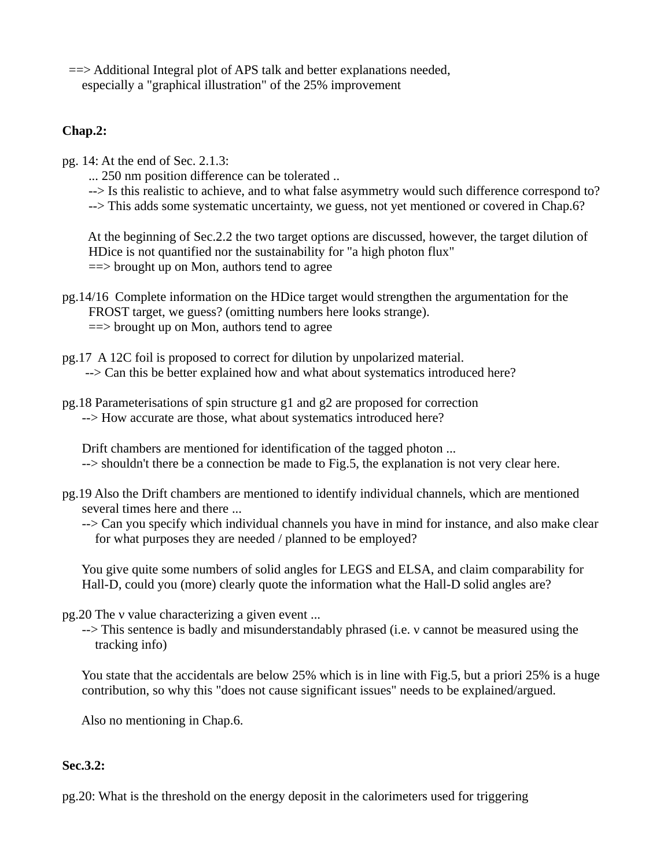==> Additional Integral plot of APS talk and better explanations needed, especially a "graphical illustration" of the 25% improvement

## **Chap.2:**

pg. 14: At the end of Sec. 2.1.3:

... 250 nm position difference can be tolerated ..

--> Is this realistic to achieve, and to what false asymmetry would such difference correspond to?

--> This adds some systematic uncertainty, we guess, not yet mentioned or covered in Chap.6?

 At the beginning of Sec.2.2 the two target options are discussed, however, the target dilution of HDice is not quantified nor the sustainability for "a high photon flux" ==> brought up on Mon, authors tend to agree

- pg.14/16 Complete information on the HDice target would strengthen the argumentation for the FROST target, we guess? (omitting numbers here looks strange).  $\Rightarrow$  brought up on Mon, authors tend to agree
- pg.17 A 12C foil is proposed to correct for dilution by unpolarized material. --> Can this be better explained how and what about systematics introduced here?
- pg.18 Parameterisations of spin structure g1 and g2 are proposed for correction --> How accurate are those, what about systematics introduced here?

 Drift chambers are mentioned for identification of the tagged photon ... --> shouldn't there be a connection be made to Fig.5, the explanation is not very clear here.

- pg.19 Also the Drift chambers are mentioned to identify individual channels, which are mentioned several times here and there ...
	- --> Can you specify which individual channels you have in mind for instance, and also make clear for what purposes they are needed / planned to be employed?

 You give quite some numbers of solid angles for LEGS and ELSA, and claim comparability for Hall-D, could you (more) clearly quote the information what the Hall-D solid angles are?

- pg.20 The ν value characterizing a given event ...
	- --> This sentence is badly and misunderstandably phrased (i.e. ν cannot be measured using the tracking info)

 You state that the accidentals are below 25% which is in line with Fig.5, but a priori 25% is a huge contribution, so why this "does not cause significant issues" needs to be explained/argued.

Also no mentioning in Chap.6.

### **Sec.3.2:**

pg.20: What is the threshold on the energy deposit in the calorimeters used for triggering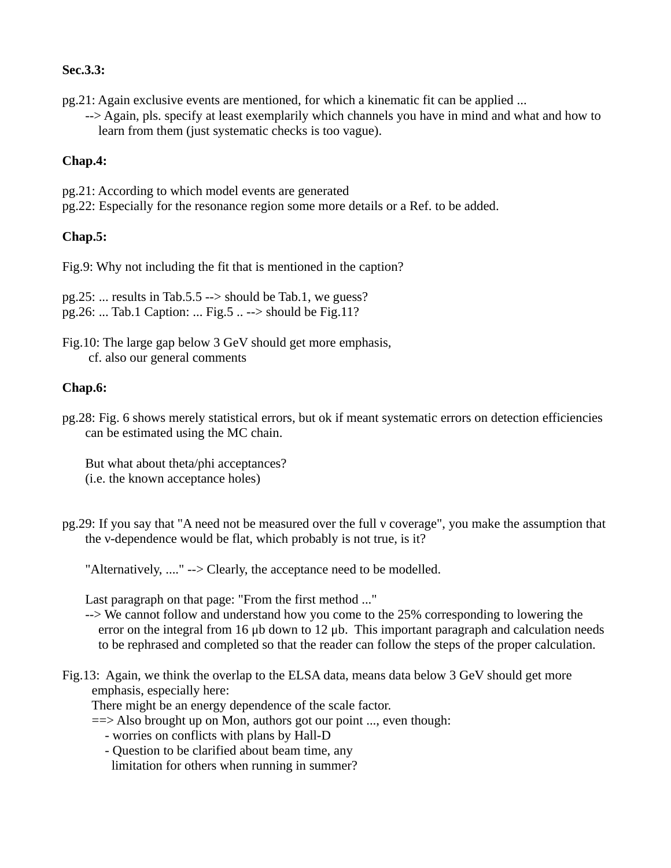# **Sec.3.3:**

pg.21: Again exclusive events are mentioned, for which a kinematic fit can be applied ...

 --> Again, pls. specify at least exemplarily which channels you have in mind and what and how to learn from them (just systematic checks is too vague).

# **Chap.4:**

pg.21: According to which model events are generated pg.22: Especially for the resonance region some more details or a Ref. to be added.

# **Chap.5:**

Fig.9: Why not including the fit that is mentioned in the caption?

pg.25: ... results in Tab.5.5 --> should be Tab.1, we guess? pg.26: ... Tab.1 Caption: ... Fig.5 .. --> should be Fig.11?

Fig.10: The large gap below 3 GeV should get more emphasis, cf. also our general comments

# **Chap.6:**

pg.28: Fig. 6 shows merely statistical errors, but ok if meant systematic errors on detection efficiencies can be estimated using the MC chain.

 But what about theta/phi acceptances? (i.e. the known acceptance holes)

pg.29: If you say that "A need not be measured over the full ν coverage", you make the assumption that the ν-dependence would be flat, which probably is not true, is it?

"Alternatively, ...." --> Clearly, the acceptance need to be modelled.

Last paragraph on that page: "From the first method ..."

 --> We cannot follow and understand how you come to the 25% corresponding to lowering the error on the integral from 16 μb down to 12 μb. This important paragraph and calculation needs to be rephrased and completed so that the reader can follow the steps of the proper calculation.

Fig.13: Again, we think the overlap to the ELSA data, means data below 3 GeV should get more emphasis, especially here:

There might be an energy dependence of the scale factor.

- $\Rightarrow$  Also brought up on Mon, authors got our point ..., even though:
	- worries on conflicts with plans by Hall-D
	- Question to be clarified about beam time, any

limitation for others when running in summer?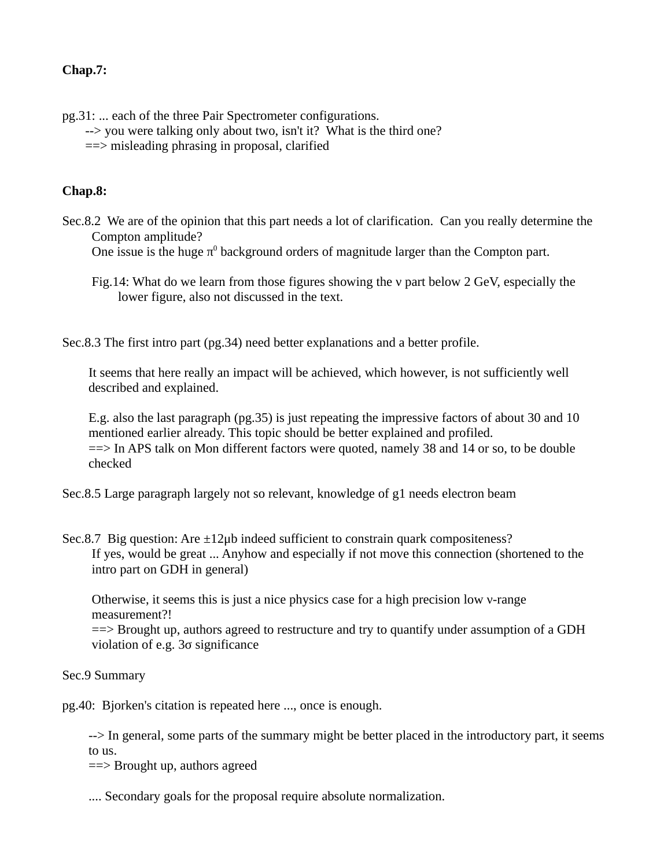# **Chap.7:**

pg.31: ... each of the three Pair Spectrometer configurations.

--> you were talking only about two, isn't it? What is the third one?

 $\equiv$  =  $\equiv$  misleading phrasing in proposal, clarified

## **Chap.8:**

Sec.8.2 We are of the opinion that this part needs a lot of clarification. Can you really determine the Compton amplitude?

One issue is the huge  $\pi^0$  background orders of magnitude larger than the Compton part.

Sec.8.3 The first intro part (pg.34) need better explanations and a better profile.

 It seems that here really an impact will be achieved, which however, is not sufficiently well described and explained.

 E.g. also the last paragraph (pg.35) is just repeating the impressive factors of about 30 and 10 mentioned earlier already. This topic should be better explained and profiled. ==> In APS talk on Mon different factors were quoted, namely 38 and 14 or so, to be double checked

Sec.8.5 Large paragraph largely not so relevant, knowledge of g1 needs electron beam

Sec.8.7 Big question: Are ±12μb indeed sufficient to constrain quark compositeness? If yes, would be great ... Anyhow and especially if not move this connection (shortened to the intro part on GDH in general)

 Otherwise, it seems this is just a nice physics case for a high precision low ν-range measurement?!

 ==> Brought up, authors agreed to restructure and try to quantify under assumption of a GDH violation of e.g. 3σ significance

Sec.9 Summary

pg.40: Bjorken's citation is repeated here ..., once is enough.

 --> In general, some parts of the summary might be better placed in the introductory part, it seems to us.

==> Brought up, authors agreed

.... Secondary goals for the proposal require absolute normalization.

Fig.14: What do we learn from those figures showing the ν part below 2 GeV, especially the lower figure, also not discussed in the text.